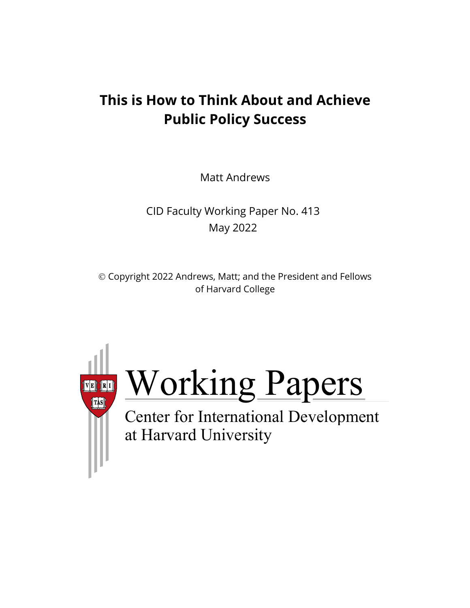# **This is How to Think About and Achieve Public Policy Success**

Matt Andrews

CID Faculty Working Paper No. 413 May 2022

 Copyright 2022 Andrews, Matt; and the President and Fellows of Harvard College



Working Papers

at Harvard University Center for International Development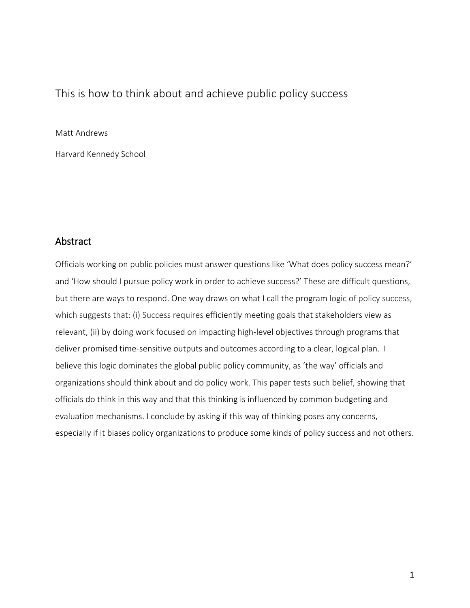# This is how to think about and achieve public policy success

#### Matt Andrews

Harvard Kennedy School

## Abstract

Officials working on public policies must answer questions like 'What does policy success mean?' and 'How should I pursue policy work in order to achieve success?' These are difficult questions, but there are ways to respond. One way draws on what I call the program logic of policy success, which suggests that: (i) Success requires efficiently meeting goals that stakeholders view as relevant, (ii) by doing work focused on impacting high-level objectives through programs that deliver promised time-sensitive outputs and outcomes according to a clear, logical plan. I believe this logic dominates the global public policy community, as 'the way' officials and organizations should think about and do policy work. This paper tests such belief, showing that officials do think in this way and that this thinking is influenced by common budgeting and evaluation mechanisms. I conclude by asking if this way of thinking poses any concerns, especially if it biases policy organizations to produce some kinds of policy success and not others.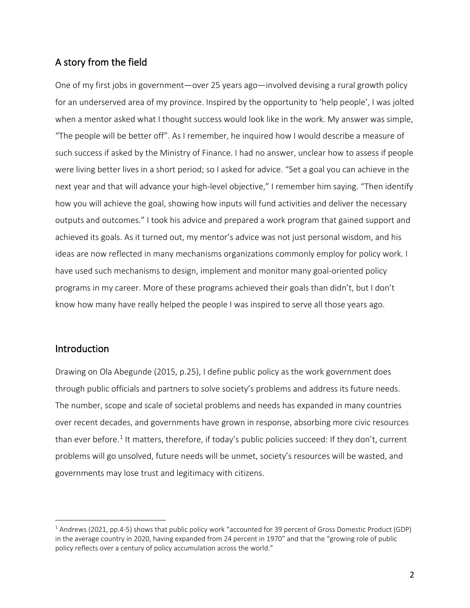## A story from the field

One of my first jobs in government—over 25 years ago—involved devising a rural growth policy for an underserved area of my province. Inspired by the opportunity to 'help people', I was jolted when a mentor asked what I thought success would look like in the work. My answer was simple, "The people will be better off". As I remember, he inquired how I would describe a measure of such success if asked by the Ministry of Finance. I had no answer, unclear how to assess if people were living better lives in a short period; so I asked for advice. "Set a goal you can achieve in the next year and that will advance your high-level objective," I remember him saying. "Then identify how you will achieve the goal, showing how inputs will fund activities and deliver the necessary outputs and outcomes." I took his advice and prepared a work program that gained support and achieved its goals. As it turned out, my mentor's advice was not just personal wisdom, and his ideas are now reflected in many mechanisms organizations commonly employ for policy work. I have used such mechanisms to design, implement and monitor many goal-oriented policy programs in my career. More of these programs achieved their goals than didn't, but I don't know how many have really helped the people I was inspired to serve all those years ago.

## Introduction

Drawing on Ola Abegunde (2015, p.25), I define public policy as the work government does through public officials and partners to solve society's problems and address its future needs. The number, scope and scale of societal problems and needs has expanded in many countries over recent decades, and governments have grown in response, absorbing more civic resources than ever before.<sup>[1](#page-2-0)</sup> It matters, therefore, if today's public policies succeed: If they don't, current problems will go unsolved, future needs will be unmet, society's resources will be wasted, and governments may lose trust and legitimacy with citizens.

<span id="page-2-0"></span> $1$  Andrews (2021, pp.4-5) shows that public policy work "accounted for 39 percent of Gross Domestic Product (GDP) in the average country in 2020, having expanded from 24 percent in 1970" and that the "growing role of public policy reflects over a century of policy accumulation across the world."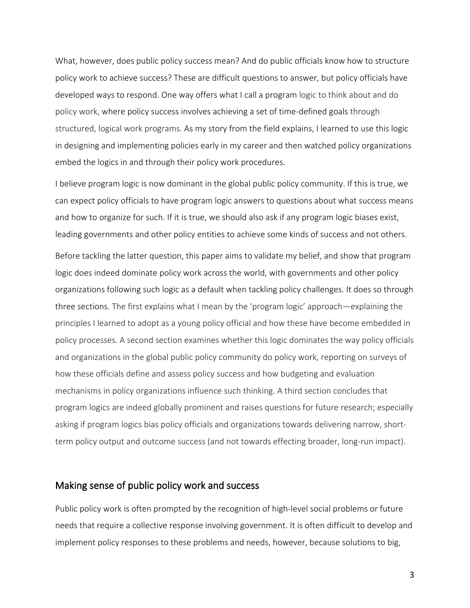What, however, does public policy success mean? And do public officials know how to structure policy work to achieve success? These are difficult questions to answer, but policy officials have developed ways to respond. One way offers what I call a program logic to think about and do policy work, where policy success involves achieving a set of time-defined goals through structured, logical work programs. As my story from the field explains, I learned to use this logic in designing and implementing policies early in my career and then watched policy organizations embed the logics in and through their policy work procedures.

I believe program logic is now dominant in the global public policy community. If this is true, we can expect policy officials to have program logic answers to questions about what success means and how to organize for such. If it is true, we should also ask if any program logic biases exist, leading governments and other policy entities to achieve some kinds of success and not others.

Before tackling the latter question, this paper aims to validate my belief, and show that program logic does indeed dominate policy work across the world, with governments and other policy organizations following such logic as a default when tackling policy challenges. It does so through three sections. The first explains what I mean by the 'program logic' approach—explaining the principles I learned to adopt as a young policy official and how these have become embedded in policy processes. A second section examines whether this logic dominates the way policy officials and organizations in the global public policy community do policy work, reporting on surveys of how these officials define and assess policy success and how budgeting and evaluation mechanisms in policy organizations influence such thinking. A third section concludes that program logics are indeed globally prominent and raises questions for future research; especially asking if program logics bias policy officials and organizations towards delivering narrow, shortterm policy output and outcome success (and not towards effecting broader, long-run impact).

## Making sense of public policy work and success

Public policy work is often prompted by the recognition of high-level social problems or future needs that require a collective response involving government. It is often difficult to develop and implement policy responses to these problems and needs, however, because solutions to big,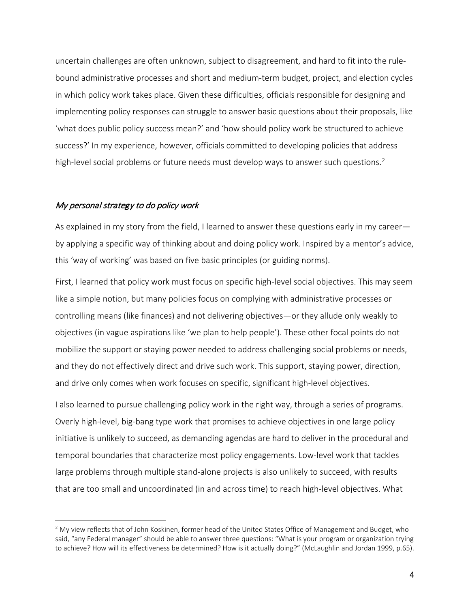uncertain challenges are often unknown, subject to disagreement, and hard to fit into the rulebound administrative processes and short and medium-term budget, project, and election cycles in which policy work takes place. Given these difficulties, officials responsible for designing and implementing policy responses can struggle to answer basic questions about their proposals, like 'what does public policy success mean?' and 'how should policy work be structured to achieve success?' In my experience, however, officials committed to developing policies that address high-level social problems or future needs must develop ways to answer such questions.<sup>[2](#page-4-0)</sup>

#### My personal strategy to do policy work

As explained in my story from the field, I learned to answer these questions early in my career by applying a specific way of thinking about and doing policy work. Inspired by a mentor's advice, this 'way of working' was based on five basic principles (or guiding norms).

First, I learned that policy work must focus on specific high-level social objectives. This may seem like a simple notion, but many policies focus on complying with administrative processes or controlling means (like finances) and not delivering objectives—or they allude only weakly to objectives (in vague aspirations like 'we plan to help people'). These other focal points do not mobilize the support or staying power needed to address challenging social problems or needs, and they do not effectively direct and drive such work. This support, staying power, direction, and drive only comes when work focuses on specific, significant high-level objectives.

I also learned to pursue challenging policy work in the right way, through a series of programs. Overly high-level, big-bang type work that promises to achieve objectives in one large policy initiative is unlikely to succeed, as demanding agendas are hard to deliver in the procedural and temporal boundaries that characterize most policy engagements. Low-level work that tackles large problems through multiple stand-alone projects is also unlikely to succeed, with results that are too small and uncoordinated (in and across time) to reach high-level objectives. What

<span id="page-4-0"></span> $2$  My view reflects that of John Koskinen, former head of the United States Office of Management and Budget, who said, "any Federal manager" should be able to answer three questions: "What is your program or organization trying to achieve? How will its effectiveness be determined? How is it actually doing?" (McLaughlin and Jordan 1999, p.65).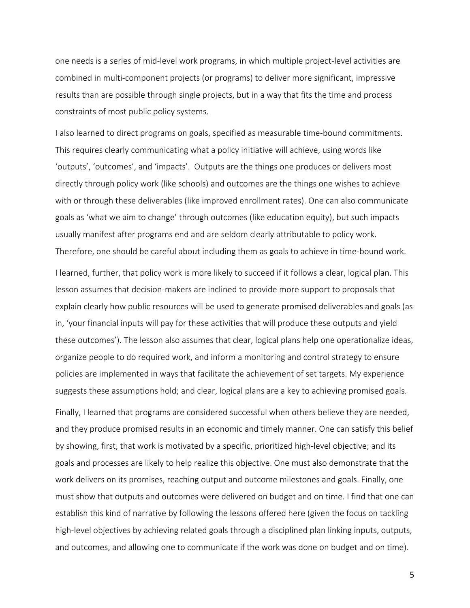one needs is a series of mid-level work programs, in which multiple project-level activities are combined in multi-component projects (or programs) to deliver more significant, impressive results than are possible through single projects, but in a way that fits the time and process constraints of most public policy systems.

I also learned to direct programs on goals, specified as measurable time-bound commitments. This requires clearly communicating what a policy initiative will achieve, using words like 'outputs', 'outcomes', and 'impacts'. Outputs are the things one produces or delivers most directly through policy work (like schools) and outcomes are the things one wishes to achieve with or through these deliverables (like improved enrollment rates). One can also communicate goals as 'what we aim to change' through outcomes (like education equity), but such impacts usually manifest after programs end and are seldom clearly attributable to policy work. Therefore, one should be careful about including them as goals to achieve in time-bound work.

I learned, further, that policy work is more likely to succeed if it follows a clear, logical plan. This lesson assumes that decision-makers are inclined to provide more support to proposals that explain clearly how public resources will be used to generate promised deliverables and goals (as in, 'your financial inputs will pay for these activities that will produce these outputs and yield these outcomes'). The lesson also assumes that clear, logical plans help one operationalize ideas, organize people to do required work, and inform a monitoring and control strategy to ensure policies are implemented in ways that facilitate the achievement of set targets. My experience suggests these assumptions hold; and clear, logical plans are a key to achieving promised goals.

Finally, I learned that programs are considered successful when others believe they are needed, and they produce promised results in an economic and timely manner. One can satisfy this belief by showing, first, that work is motivated by a specific, prioritized high-level objective; and its goals and processes are likely to help realize this objective. One must also demonstrate that the work delivers on its promises, reaching output and outcome milestones and goals. Finally, one must show that outputs and outcomes were delivered on budget and on time. I find that one can establish this kind of narrative by following the lessons offered here (given the focus on tackling high-level objectives by achieving related goals through a disciplined plan linking inputs, outputs, and outcomes, and allowing one to communicate if the work was done on budget and on time).

5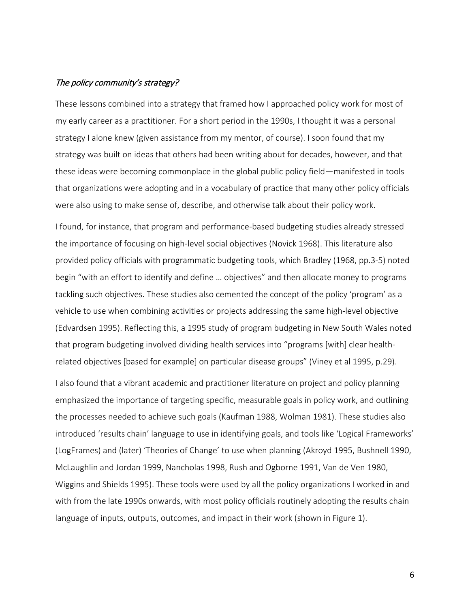#### The policy community's strategy?

These lessons combined into a strategy that framed how I approached policy work for most of my early career as a practitioner. For a short period in the 1990s, I thought it was a personal strategy I alone knew (given assistance from my mentor, of course). I soon found that my strategy was built on ideas that others had been writing about for decades, however, and that these ideas were becoming commonplace in the global public policy field—manifested in tools that organizations were adopting and in a vocabulary of practice that many other policy officials were also using to make sense of, describe, and otherwise talk about their policy work.

I found, for instance, that program and performance-based budgeting studies already stressed the importance of focusing on high-level social objectives (Novick 1968). This literature also provided policy officials with programmatic budgeting tools, which Bradley (1968, pp.3-5) noted begin "with an effort to identify and define … objectives" and then allocate money to programs tackling such objectives. These studies also cemented the concept of the policy 'program' as a vehicle to use when combining activities or projects addressing the same high-level objective (Edvardsen 1995). Reflecting this, a 1995 study of program budgeting in New South Wales noted that program budgeting involved dividing health services into "programs [with] clear healthrelated objectives [based for example] on particular disease groups" (Viney et al 1995, p.29).

I also found that a vibrant academic and practitioner literature on project and policy planning emphasized the importance of targeting specific, measurable goals in policy work, and outlining the processes needed to achieve such goals (Kaufman 1988, Wolman 1981). These studies also introduced 'results chain' language to use in identifying goals, and tools like 'Logical Frameworks' (LogFrames) and (later) 'Theories of Change' to use when planning (Akroyd 1995, Bushnell 1990, McLaughlin and Jordan 1999, Nancholas 1998, Rush and Ogborne 1991, Van de Ven 1980, Wiggins and Shields 1995). These tools were used by all the policy organizations I worked in and with from the late 1990s onwards, with most policy officials routinely adopting the results chain language of inputs, outputs, outcomes, and impact in their work (shown in Figure 1).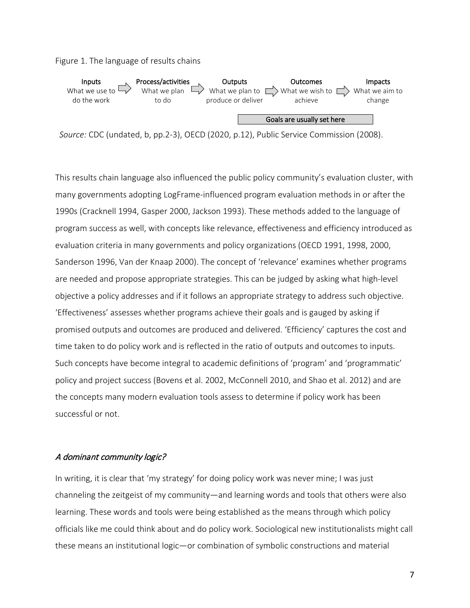Figure 1. The language of results chains



 *Source:* CDC (undated, b, pp.2-3), OECD (2020, p.12), Public Service Commission (2008).

This results chain language also influenced the public policy community's evaluation cluster, with many governments adopting LogFrame-influenced program evaluation methods in or after the 1990s (Cracknell 1994, Gasper 2000, Jackson 1993). These methods added to the language of program success as well, with concepts like relevance, effectiveness and efficiency introduced as evaluation criteria in many governments and policy organizations (OECD 1991, 1998, 2000, Sanderson 1996, Van der Knaap 2000). The concept of 'relevance' examines whether programs are needed and propose appropriate strategies. This can be judged by asking what high-level objective a policy addresses and if it follows an appropriate strategy to address such objective. 'Effectiveness' assesses whether programs achieve their goals and is gauged by asking if promised outputs and outcomes are produced and delivered. 'Efficiency' captures the cost and time taken to do policy work and is reflected in the ratio of outputs and outcomes to inputs. Such concepts have become integral to academic definitions of 'program' and 'programmatic' policy and project success (Bovens et al. 2002, McConnell 2010, and Shao et al. 2012) and are the concepts many modern evaluation tools assess to determine if policy work has been successful or not.

#### A dominant community logic?

In writing, it is clear that 'my strategy' for doing policy work was never mine; I was just channeling the zeitgeist of my community—and learning words and tools that others were also learning. These words and tools were being established as the means through which policy officials like me could think about and do policy work. Sociological new institutionalists might call these means an institutional logic—or combination of symbolic constructions and material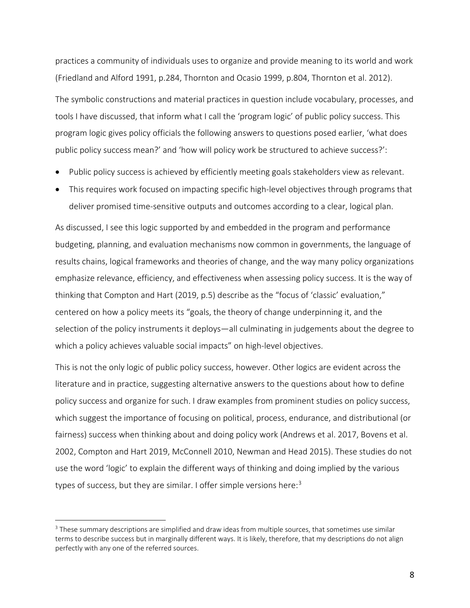practices a community of individuals uses to organize and provide meaning to its world and work (Friedland and Alford 1991, p.284, Thornton and Ocasio 1999, p.804, Thornton et al. 2012).

The symbolic constructions and material practices in question include vocabulary, processes, and tools I have discussed, that inform what I call the 'program logic' of public policy success. This program logic gives policy officials the following answers to questions posed earlier, 'what does public policy success mean?' and 'how will policy work be structured to achieve success?':

- Public policy success is achieved by efficiently meeting goals stakeholders view as relevant.
- This requires work focused on impacting specific high-level objectives through programs that deliver promised time-sensitive outputs and outcomes according to a clear, logical plan.

As discussed, I see this logic supported by and embedded in the program and performance budgeting, planning, and evaluation mechanisms now common in governments, the language of results chains, logical frameworks and theories of change, and the way many policy organizations emphasize relevance, efficiency, and effectiveness when assessing policy success. It is the way of thinking that Compton and Hart (2019, p.5) describe as the "focus of 'classic' evaluation," centered on how a policy meets its "goals, the theory of change underpinning it, and the selection of the policy instruments it deploys—all culminating in judgements about the degree to which a policy achieves valuable social impacts" on high-level objectives.

This is not the only logic of public policy success, however. Other logics are evident across the literature and in practice, suggesting alternative answers to the questions about how to define policy success and organize for such. I draw examples from prominent studies on policy success, which suggest the importance of focusing on political, process, endurance, and distributional (or fairness) success when thinking about and doing policy work (Andrews et al. 2017, Bovens et al. 2002, Compton and Hart 2019, McConnell 2010, Newman and Head 2015). These studies do not use the word 'logic' to explain the different ways of thinking and doing implied by the various types of success, but they are similar. I offer simple versions here:<sup>[3](#page-8-0)</sup>

<span id="page-8-0"></span><sup>&</sup>lt;sup>3</sup> These summary descriptions are simplified and draw ideas from multiple sources, that sometimes use similar terms to describe success but in marginally different ways. It is likely, therefore, that my descriptions do not align perfectly with any one of the referred sources.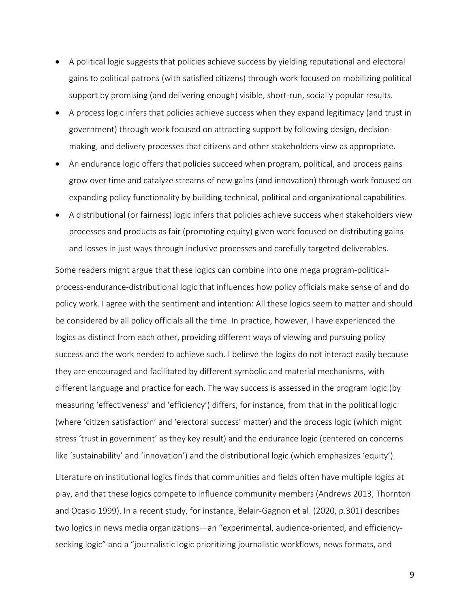- A political logic suggests that policies achieve success by yielding reputational and electoral gains to political patrons (with satisfied citizens) through work focused on mobilizing political support by promising (and delivering enough) visible, short-run, socially popular results.
- A process logic infers that policies achieve success when they expand legitimacy (and trust in government) through work focused on attracting support by following design, decisionmaking, and delivery processes that citizens and other stakeholders view as appropriate.
- An endurance logic offers that policies succeed when program, political, and process gains grow over time and catalyze streams of new gains (and innovation) through work focused on expanding policy functionality by building technical, political and organizational capabilities.
- A distributional (or fairness) logic infers that policies achieve success when stakeholders view processes and products as fair (promoting equity) given work focused on distributing gains and losses in just ways through inclusive processes and carefully targeted deliverables.

Some readers might argue that these logics can combine into one mega program-politicalprocess-endurance-distributional logic that influences how policy officials make sense of and do policy work. I agree with the sentiment and intention: All these logics seem to matter and should be considered by all policy officials all the time. In practice, however, I have experienced the logics as distinct from each other, providing different ways of viewing and pursuing policy success and the work needed to achieve such. I believe the logics do not interact easily because they are encouraged and facilitated by different symbolic and material mechanisms, with different language and practice for each. The way success is assessed in the program logic (by measuring 'effectiveness' and 'efficiency') differs, for instance, from that in the political logic (where 'citizen satisfaction' and 'electoral success' matter) and the process logic (which might stress 'trust in government' as they key result) and the endurance logic (centered on concerns like 'sustainability' and 'innovation') and the distributional logic (which emphasizes 'equity').

Literature on institutional logics finds that communities and fields often have multiple logics at play, and that these logics compete to influence community members (Andrews 2013, Thornton and Ocasio 1999). In a recent study, for instance, Belair-Gagnon et al. (2020, p.301) describes two logics in news media organizations—an "experimental, audience-oriented, and efficiencyseeking logic" and a "journalistic logic prioritizing journalistic workflows, news formats, and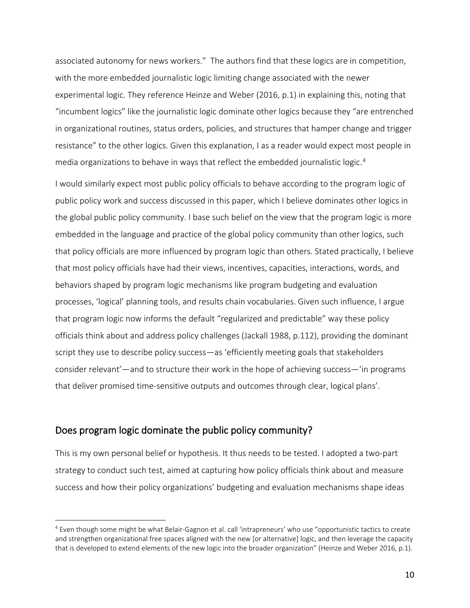associated autonomy for news workers." The authors find that these logics are in competition, with the more embedded journalistic logic limiting change associated with the newer experimental logic. They reference Heinze and Weber (2016, p.1) in explaining this, noting that "incumbent logics" like the journalistic logic dominate other logics because they "are entrenched in organizational routines, status orders, policies, and structures that hamper change and trigger resistance" to the other logics. Given this explanation, I as a reader would expect most people in media organizations to behave in ways that reflect the embedded journalistic logic.<sup>[4](#page-10-0)</sup>

I would similarly expect most public policy officials to behave according to the program logic of public policy work and success discussed in this paper, which I believe dominates other logics in the global public policy community. I base such belief on the view that the program logic is more embedded in the language and practice of the global policy community than other logics, such that policy officials are more influenced by program logic than others. Stated practically, I believe that most policy officials have had their views, incentives, capacities, interactions, words, and behaviors shaped by program logic mechanisms like program budgeting and evaluation processes, 'logical' planning tools, and results chain vocabularies. Given such influence, I argue that program logic now informs the default "regularized and predictable" way these policy officials think about and address policy challenges (Jackall 1988, p.112), providing the dominant script they use to describe policy success—as 'efficiently meeting goals that stakeholders consider relevant'—and to structure their work in the hope of achieving success—'in programs that deliver promised time-sensitive outputs and outcomes through clear, logical plans'.

## Does program logic dominate the public policy community?

This is my own personal belief or hypothesis. It thus needs to be tested. I adopted a two-part strategy to conduct such test, aimed at capturing how policy officials think about and measure success and how their policy organizations' budgeting and evaluation mechanisms shape ideas

<span id="page-10-0"></span><sup>4</sup> Even though some might be what Belair-Gagnon et al. call 'intrapreneurs' who use "opportunistic tactics to create and strengthen organizational free spaces aligned with the new [or alternative] logic, and then leverage the capacity that is developed to extend elements of the new logic into the broader organization" (Heinze and Weber 2016, p.1).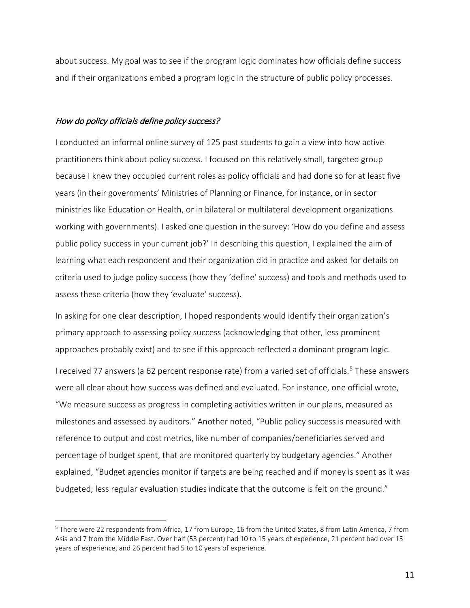about success. My goal was to see if the program logic dominates how officials define success and if their organizations embed a program logic in the structure of public policy processes.

### How do policy officials define policy success?

I conducted an informal online survey of 125 past students to gain a view into how active practitioners think about policy success. I focused on this relatively small, targeted group because I knew they occupied current roles as policy officials and had done so for at least five years (in their governments' Ministries of Planning or Finance, for instance, or in sector ministries like Education or Health, or in bilateral or multilateral development organizations working with governments). I asked one question in the survey: 'How do you define and assess public policy success in your current job?' In describing this question, I explained the aim of learning what each respondent and their organization did in practice and asked for details on criteria used to judge policy success (how they 'define' success) and tools and methods used to assess these criteria (how they 'evaluate' success).

In asking for one clear description, I hoped respondents would identify their organization's primary approach to assessing policy success (acknowledging that other, less prominent approaches probably exist) and to see if this approach reflected a dominant program logic.

I received 77 answers (a 62 percent response rate) from a varied set of officials.<sup>[5](#page-11-0)</sup> These answers were all clear about how success was defined and evaluated. For instance, one official wrote, "We measure success as progress in completing activities written in our plans, measured as milestones and assessed by auditors." Another noted, "Public policy success is measured with reference to output and cost metrics, like number of companies/beneficiaries served and percentage of budget spent, that are monitored quarterly by budgetary agencies." Another explained, "Budget agencies monitor if targets are being reached and if money is spent as it was budgeted; less regular evaluation studies indicate that the outcome is felt on the ground."

<span id="page-11-0"></span><sup>5</sup> There were 22 respondents from Africa, 17 from Europe, 16 from the United States, 8 from Latin America, 7 from Asia and 7 from the Middle East. Over half (53 percent) had 10 to 15 years of experience, 21 percent had over 15 years of experience, and 26 percent had 5 to 10 years of experience.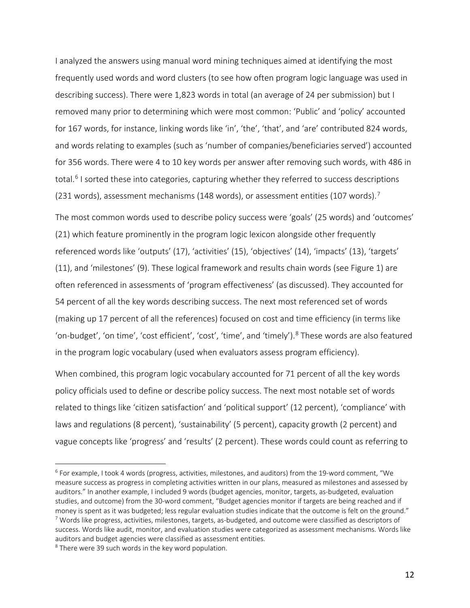I analyzed the answers using manual word mining techniques aimed at identifying the most frequently used words and word clusters (to see how often program logic language was used in describing success). There were 1,823 words in total (an average of 24 per submission) but I removed many prior to determining which were most common: 'Public' and 'policy' accounted for 167 words, for instance, linking words like 'in', 'the', 'that', and 'are' contributed 824 words, and words relating to examples (such as 'number of companies/beneficiaries served') accounted for 356 words. There were 4 to 10 key words per answer after removing such words, with 486 in total.<sup>[6](#page-12-0)</sup> I sorted these into categories, capturing whether they referred to success descriptions (231 words), assessment mechanisms (148 words), or assessment entities (10[7](#page-12-1) words).<sup>7</sup>

The most common words used to describe policy success were 'goals' (25 words) and 'outcomes' (21) which feature prominently in the program logic lexicon alongside other frequently referenced words like 'outputs' (17), 'activities' (15), 'objectives' (14), 'impacts' (13), 'targets' (11), and 'milestones' (9). These logical framework and results chain words (see Figure 1) are often referenced in assessments of 'program effectiveness' (as discussed). They accounted for 54 percent of all the key words describing success. The next most referenced set of words (making up 17 percent of all the references) focused on cost and time efficiency (in terms like 'on-budget', 'on time', 'cost efficient', 'cost', 'time', and 'timely').<sup>[8](#page-12-2)</sup> These words are also featured in the program logic vocabulary (used when evaluators assess program efficiency).

When combined, this program logic vocabulary accounted for 71 percent of all the key words policy officials used to define or describe policy success. The next most notable set of words related to things like 'citizen satisfaction' and 'political support' (12 percent), 'compliance' with laws and regulations (8 percent), 'sustainability' (5 percent), capacity growth (2 percent) and vague concepts like 'progress' and 'results' (2 percent). These words could count as referring to

<span id="page-12-0"></span><sup>6</sup> For example, I took 4 words (progress, activities, milestones, and auditors) from the 19-word comment, "We measure success as progress in completing activities written in our plans, measured as milestones and assessed by auditors." In another example, I included 9 words (budget agencies, monitor, targets, as-budgeted, evaluation studies, and outcome) from the 30-word comment, "Budget agencies monitor if targets are being reached and if money is spent as it was budgeted; less regular evaluation studies indicate that the outcome is felt on the ground." <sup>7</sup> Words like progress, activities, milestones, targets, as-budgeted, and outcome were classified as descriptors of success. Words like audit, monitor, and evaluation studies were categorized as assessment mechanisms. Words like auditors and budget agencies were classified as assessment entities.

<span id="page-12-2"></span><span id="page-12-1"></span><sup>&</sup>lt;sup>8</sup> There were 39 such words in the key word population.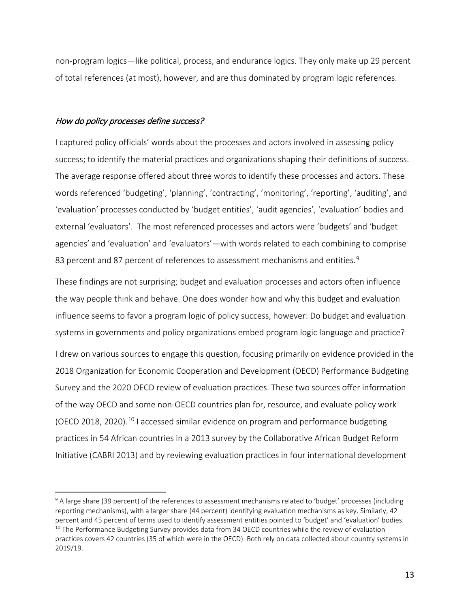non-program logics—like political, process, and endurance logics. They only make up 29 percent of total references (at most), however, and are thus dominated by program logic references.

#### How do policy processes define success?

I captured policy officials' words about the processes and actors involved in assessing policy success; to identify the material practices and organizations shaping their definitions of success. The average response offered about three words to identify these processes and actors. These words referenced 'budgeting', 'planning', 'contracting', 'monitoring', 'reporting', 'auditing', and 'evaluation' processes conducted by 'budget entities', 'audit agencies', 'evaluation' bodies and external 'evaluators'. The most referenced processes and actors were 'budgets' and 'budget agencies' and 'evaluation' and 'evaluators'—with words related to each combining to comprise 83 percent and 87 percent of references to assessment mechanisms and entities.<sup>[9](#page-13-0)</sup>

These findings are not surprising; budget and evaluation processes and actors often influence the way people think and behave. One does wonder how and why this budget and evaluation influence seems to favor a program logic of policy success, however: Do budget and evaluation systems in governments and policy organizations embed program logic language and practice? I drew on various sources to engage this question, focusing primarily on evidence provided in the 2018 Organization for Economic Cooperation and Development (OECD) Performance Budgeting Survey and the 2020 OECD review of evaluation practices. These two sources offer information of the way OECD and some non-OECD countries plan for, resource, and evaluate policy work (OECD 2018, 2020).<sup>[10](#page-13-1)</sup> I accessed similar evidence on program and performance budgeting practices in 54 African countries in a 2013 survey by the Collaborative African Budget Reform Initiative (CABRI 2013) and by reviewing evaluation practices in four international development

<span id="page-13-1"></span><span id="page-13-0"></span><sup>&</sup>lt;sup>9</sup> A large share (39 percent) of the references to assessment mechanisms related to 'budget' processes (including reporting mechanisms), with a larger share (44 percent) identifying evaluation mechanisms as key. Similarly, 42 percent and 45 percent of terms used to identify assessment entities pointed to 'budget' and 'evaluation' bodies.  $10$  The Performance Budgeting Survey provides data from 34 OECD countries while the review of evaluation practices covers 42 countries (35 of which were in the OECD). Both rely on data collected about country systems in 2019/19.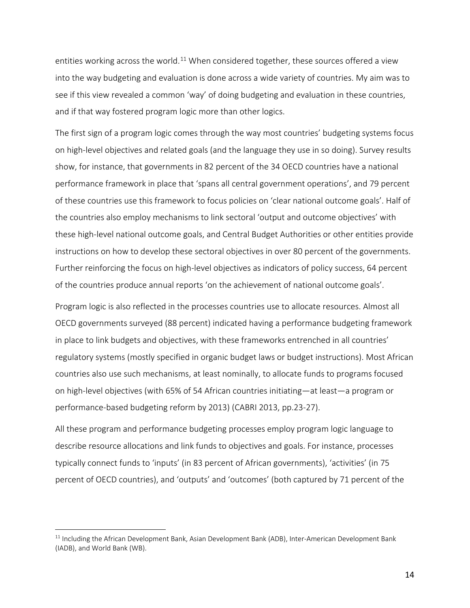entities working across the world.<sup>[11](#page-14-0)</sup> When considered together, these sources offered a view into the way budgeting and evaluation is done across a wide variety of countries. My aim was to see if this view revealed a common 'way' of doing budgeting and evaluation in these countries, and if that way fostered program logic more than other logics.

The first sign of a program logic comes through the way most countries' budgeting systems focus on high-level objectives and related goals (and the language they use in so doing). Survey results show, for instance, that governments in 82 percent of the 34 OECD countries have a national performance framework in place that 'spans all central government operations', and 79 percent of these countries use this framework to focus policies on 'clear national outcome goals'. Half of the countries also employ mechanisms to link sectoral 'output and outcome objectives' with these high-level national outcome goals, and Central Budget Authorities or other entities provide instructions on how to develop these sectoral objectives in over 80 percent of the governments. Further reinforcing the focus on high-level objectives as indicators of policy success, 64 percent of the countries produce annual reports 'on the achievement of national outcome goals'.

Program logic is also reflected in the processes countries use to allocate resources. Almost all OECD governments surveyed (88 percent) indicated having a performance budgeting framework in place to link budgets and objectives, with these frameworks entrenched in all countries' regulatory systems (mostly specified in organic budget laws or budget instructions). Most African countries also use such mechanisms, at least nominally, to allocate funds to programs focused on high-level objectives (with 65% of 54 African countries initiating—at least—a program or performance-based budgeting reform by 2013) (CABRI 2013, pp.23-27).

All these program and performance budgeting processes employ program logic language to describe resource allocations and link funds to objectives and goals. For instance, processes typically connect funds to 'inputs' (in 83 percent of African governments), 'activities' (in 75 percent of OECD countries), and 'outputs' and 'outcomes' (both captured by 71 percent of the

<span id="page-14-0"></span><sup>&</sup>lt;sup>11</sup> Including the African Development Bank, Asian Development Bank (ADB), Inter-American Development Bank (IADB), and World Bank (WB).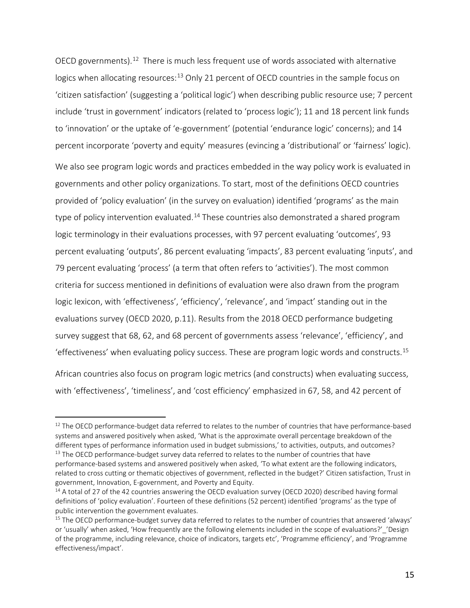OECD governments).[12](#page-15-0) There is much less frequent use of words associated with alternative logics when allocating resources:<sup>[13](#page-15-1)</sup> Only 21 percent of OECD countries in the sample focus on 'citizen satisfaction' (suggesting a 'political logic') when describing public resource use; 7 percent include 'trust in government' indicators (related to 'process logic'); 11 and 18 percent link funds to 'innovation' or the uptake of 'e-government' (potential 'endurance logic' concerns); and 14 percent incorporate 'poverty and equity' measures (evincing a 'distributional' or 'fairness' logic).

We also see program logic words and practices embedded in the way policy work is evaluated in governments and other policy organizations. To start, most of the definitions OECD countries provided of 'policy evaluation' (in the survey on evaluation) identified 'programs' as the main type of policy intervention evaluated.<sup>[14](#page-15-2)</sup> These countries also demonstrated a shared program logic terminology in their evaluations processes, with 97 percent evaluating 'outcomes', 93 percent evaluating 'outputs', 86 percent evaluating 'impacts', 83 percent evaluating 'inputs', and 79 percent evaluating 'process' (a term that often refers to 'activities'). The most common criteria for success mentioned in definitions of evaluation were also drawn from the program logic lexicon, with 'effectiveness', 'efficiency', 'relevance', and 'impact' standing out in the evaluations survey (OECD 2020, p.11). Results from the 2018 OECD performance budgeting survey suggest that 68, 62, and 68 percent of governments assess 'relevance', 'efficiency', and 'effectiveness' when evaluating policy success. These are program logic words and constructs.[15](#page-15-3)

African countries also focus on program logic metrics (and constructs) when evaluating success, with 'effectiveness', 'timeliness', and 'cost efficiency' emphasized in 67, 58, and 42 percent of

<span id="page-15-0"></span><sup>&</sup>lt;sup>12</sup> The OECD performance-budget data referred to relates to the number of countries that have performance-based systems and answered positively when asked, 'What is the approximate overall percentage breakdown of the different types of performance information used in budget submissions,' to activities, outputs, and outcomes?<br><sup>13</sup> The OECD performance-budget survey data referred to relates to the number of countries that have

<span id="page-15-1"></span>performance-based systems and answered positively when asked, 'To what extent are the following indicators, related to cross cutting or thematic objectives of government, reflected in the budget?' Citizen satisfaction, Trust in government, Innovation, E-government, and Poverty and Equity.

<span id="page-15-2"></span><sup>&</sup>lt;sup>14</sup> A total of 27 of the 42 countries answering the OECD evaluation survey (OECD 2020) described having formal definitions of 'policy evaluation'. Fourteen of these definitions (52 percent) identified 'programs' as the type of public intervention the government evaluates.

<span id="page-15-3"></span><sup>&</sup>lt;sup>15</sup> The OECD performance-budget survey data referred to relates to the number of countries that answered 'always' or 'usually' when asked, 'How frequently are the following elements included in the scope of evaluations?' 'Design of the programme, including relevance, choice of indicators, targets etc', 'Programme efficiency', and 'Programme effectiveness/impact'.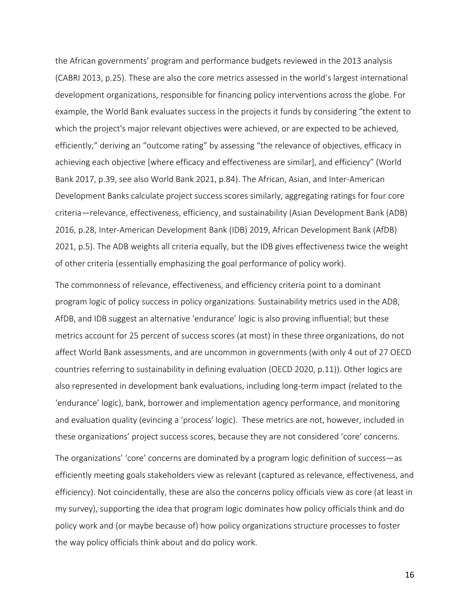the African governments' program and performance budgets reviewed in the 2013 analysis (CABRI 2013, p.25). These are also the core metrics assessed in the world's largest international development organizations, responsible for financing policy interventions across the globe. For example, the World Bank evaluates success in the projects it funds by considering "the extent to which the project's major relevant objectives were achieved, or are expected to be achieved, efficiently," deriving an "outcome rating" by assessing "the relevance of objectives, efficacy in achieving each objective [where efficacy and effectiveness are similar], and efficiency" (World Bank 2017, p.39, see also World Bank 2021, p.84). The African, Asian, and Inter-American Development Banks calculate project success scores similarly, aggregating ratings for four core criteria—relevance, effectiveness, efficiency, and sustainability (Asian Development Bank (ADB) 2016, p.28, Inter-American Development Bank (IDB) 2019, African Development Bank (AfDB) 2021, p.5). The ADB weights all criteria equally, but the IDB gives effectiveness twice the weight of other criteria (essentially emphasizing the goal performance of policy work).

The commonness of relevance, effectiveness, and efficiency criteria point to a dominant program logic of policy success in policy organizations. Sustainability metrics used in the ADB, AfDB, and IDB suggest an alternative 'endurance' logic is also proving influential; but these metrics account for 25 percent of success scores (at most) in these three organizations, do not affect World Bank assessments, and are uncommon in governments (with only 4 out of 27 OECD countries referring to sustainability in defining evaluation (OECD 2020, p.11)). Other logics are also represented in development bank evaluations, including long-term impact (related to the 'endurance' logic), bank, borrower and implementation agency performance, and monitoring and evaluation quality (evincing a 'process' logic). These metrics are not, however, included in these organizations' project success scores, because they are not considered 'core' concerns.

The organizations' 'core' concerns are dominated by a program logic definition of success—as efficiently meeting goals stakeholders view as relevant (captured as relevance, effectiveness, and efficiency). Not coincidentally, these are also the concerns policy officials view as core (at least in my survey), supporting the idea that program logic dominates how policy officials think and do policy work and (or maybe because of) how policy organizations structure processes to foster the way policy officials think about and do policy work.

16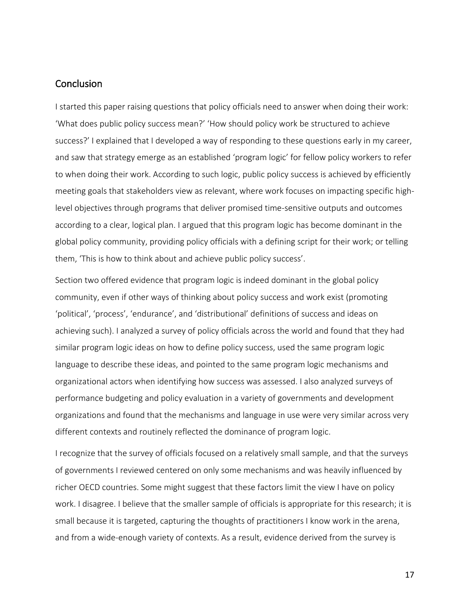## **Conclusion**

I started this paper raising questions that policy officials need to answer when doing their work: 'What does public policy success mean?' 'How should policy work be structured to achieve success?' I explained that I developed a way of responding to these questions early in my career, and saw that strategy emerge as an established 'program logic' for fellow policy workers to refer to when doing their work. According to such logic, public policy success is achieved by efficiently meeting goals that stakeholders view as relevant, where work focuses on impacting specific highlevel objectives through programs that deliver promised time-sensitive outputs and outcomes according to a clear, logical plan. I argued that this program logic has become dominant in the global policy community, providing policy officials with a defining script for their work; or telling them, 'This is how to think about and achieve public policy success'.

Section two offered evidence that program logic is indeed dominant in the global policy community, even if other ways of thinking about policy success and work exist (promoting 'political', 'process', 'endurance', and 'distributional' definitions of success and ideas on achieving such). I analyzed a survey of policy officials across the world and found that they had similar program logic ideas on how to define policy success, used the same program logic language to describe these ideas, and pointed to the same program logic mechanisms and organizational actors when identifying how success was assessed. I also analyzed surveys of performance budgeting and policy evaluation in a variety of governments and development organizations and found that the mechanisms and language in use were very similar across very different contexts and routinely reflected the dominance of program logic.

I recognize that the survey of officials focused on a relatively small sample, and that the surveys of governments I reviewed centered on only some mechanisms and was heavily influenced by richer OECD countries. Some might suggest that these factors limit the view I have on policy work. I disagree. I believe that the smaller sample of officials is appropriate for this research; it is small because it is targeted, capturing the thoughts of practitioners I know work in the arena, and from a wide-enough variety of contexts. As a result, evidence derived from the survey is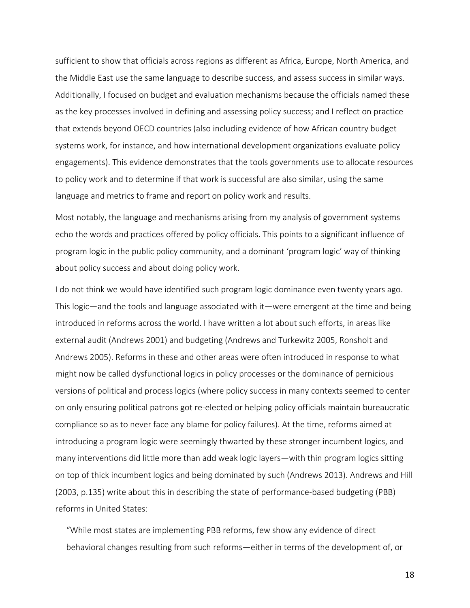sufficient to show that officials across regions as different as Africa, Europe, North America, and the Middle East use the same language to describe success, and assess success in similar ways. Additionally, I focused on budget and evaluation mechanisms because the officials named these as the key processes involved in defining and assessing policy success; and I reflect on practice that extends beyond OECD countries (also including evidence of how African country budget systems work, for instance, and how international development organizations evaluate policy engagements). This evidence demonstrates that the tools governments use to allocate resources to policy work and to determine if that work is successful are also similar, using the same language and metrics to frame and report on policy work and results.

Most notably, the language and mechanisms arising from my analysis of government systems echo the words and practices offered by policy officials. This points to a significant influence of program logic in the public policy community, and a dominant 'program logic' way of thinking about policy success and about doing policy work.

I do not think we would have identified such program logic dominance even twenty years ago. This logic—and the tools and language associated with it—were emergent at the time and being introduced in reforms across the world. I have written a lot about such efforts, in areas like external audit (Andrews 2001) and budgeting (Andrews and Turkewitz 2005, Ronsholt and Andrews 2005). Reforms in these and other areas were often introduced in response to what might now be called dysfunctional logics in policy processes or the dominance of pernicious versions of political and process logics (where policy success in many contexts seemed to center on only ensuring political patrons got re-elected or helping policy officials maintain bureaucratic compliance so as to never face any blame for policy failures). At the time, reforms aimed at introducing a program logic were seemingly thwarted by these stronger incumbent logics, and many interventions did little more than add weak logic layers—with thin program logics sitting on top of thick incumbent logics and being dominated by such (Andrews 2013). Andrews and Hill (2003, p.135) write about this in describing the state of performance-based budgeting (PBB) reforms in United States:

"While most states are implementing PBB reforms, few show any evidence of direct behavioral changes resulting from such reforms—either in terms of the development of, or

18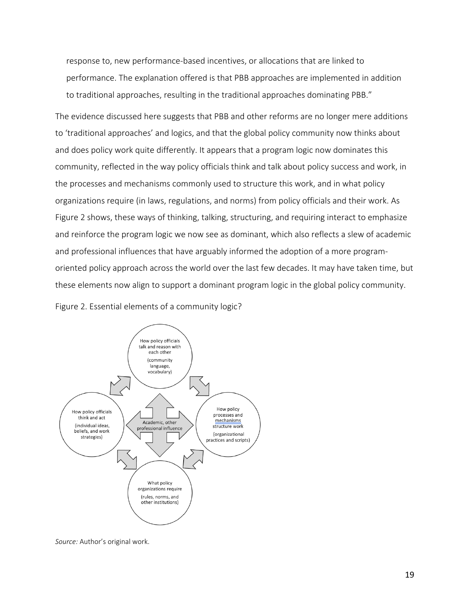response to, new performance-based incentives, or allocations that are linked to performance. The explanation offered is that PBB approaches are implemented in addition to traditional approaches, resulting in the traditional approaches dominating PBB."

The evidence discussed here suggests that PBB and other reforms are no longer mere additions to 'traditional approaches' and logics, and that the global policy community now thinks about and does policy work quite differently. It appears that a program logic now dominates this community, reflected in the way policy officials think and talk about policy success and work, in the processes and mechanisms commonly used to structure this work, and in what policy organizations require (in laws, regulations, and norms) from policy officials and their work. As Figure 2 shows, these ways of thinking, talking, structuring, and requiring interact to emphasize and reinforce the program logic we now see as dominant, which also reflects a slew of academic and professional influences that have arguably informed the adoption of a more programoriented policy approach across the world over the last few decades. It may have taken time, but these elements now align to support a dominant program logic in the global policy community.

Figure 2. Essential elements of a community logic?



*Source:* Author's original work.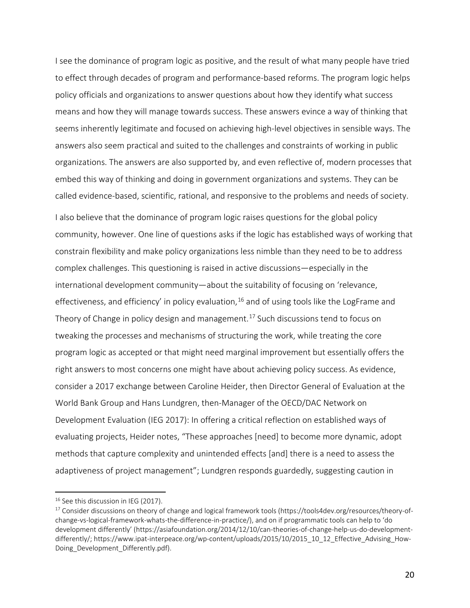I see the dominance of program logic as positive, and the result of what many people have tried to effect through decades of program and performance-based reforms. The program logic helps policy officials and organizations to answer questions about how they identify what success means and how they will manage towards success. These answers evince a way of thinking that seems inherently legitimate and focused on achieving high-level objectives in sensible ways. The answers also seem practical and suited to the challenges and constraints of working in public organizations. The answers are also supported by, and even reflective of, modern processes that embed this way of thinking and doing in government organizations and systems. They can be called evidence-based, scientific, rational, and responsive to the problems and needs of society.

I also believe that the dominance of program logic raises questions for the global policy community, however. One line of questions asks if the logic has established ways of working that constrain flexibility and make policy organizations less nimble than they need to be to address complex challenges. This questioning is raised in active discussions—especially in the international development community—about the suitability of focusing on 'relevance, effectiveness, and efficiency' in policy evaluation,  $16$  and of using tools like the LogFrame and Theory of Change in policy design and management.<sup>[17](#page-20-1)</sup> Such discussions tend to focus on tweaking the processes and mechanisms of structuring the work, while treating the core program logic as accepted or that might need marginal improvement but essentially offers the right answers to most concerns one might have about achieving policy success. As evidence, consider a 2017 exchange between Caroline Heider, then Director General of Evaluation at the World Bank Group and Hans Lundgren, then-Manager of the OECD/DAC Network on Development Evaluation (IEG 2017): In offering a critical reflection on established ways of evaluating projects, Heider notes, "These approaches [need] to become more dynamic, adopt methods that capture complexity and unintended effects [and] there is a need to assess the adaptiveness of project management"; Lundgren responds guardedly, suggesting caution in

<span id="page-20-1"></span><span id="page-20-0"></span><sup>&</sup>lt;sup>16</sup> See this discussion in IEG (2017).<br><sup>17</sup> Consider discussions on theory of change and logical framework tools (https://tools4dev.org/resources/theory-ofchange-vs-logical-framework-whats-the-difference-in-practice/), and on if programmatic tools can help to 'do development differently' (https://asiafoundation.org/2014/12/10/can-theories-of-change-help-us-do-developmentdifferently/; https://www.ipat-interpeace.org/wp-content/uploads/2015/10/2015\_10\_12\_Effective\_Advising\_How-Doing Development Differently.pdf).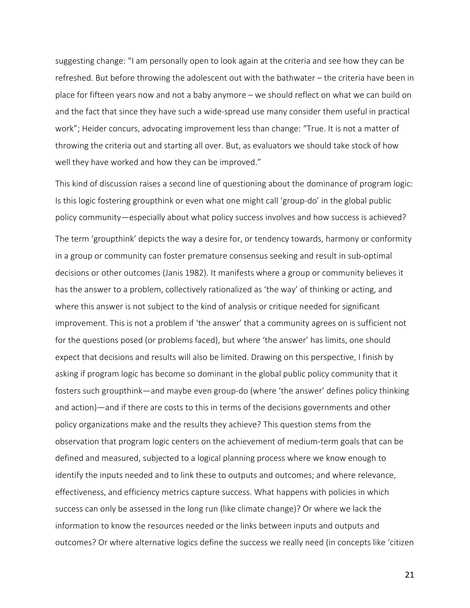suggesting change: "I am personally open to look again at the criteria and see how they can be refreshed. But before throwing the adolescent out with the bathwater – the criteria have been in place for fifteen years now and not a baby anymore – we should reflect on what we can build on and the fact that since they have such a wide-spread use many consider them useful in practical work"; Heider concurs, advocating improvement less than change: "True. It is not a matter of throwing the criteria out and starting all over. But, as evaluators we should take stock of how well they have worked and how they can be improved."

This kind of discussion raises a second line of questioning about the dominance of program logic: Is this logic fostering groupthink or even what one might call 'group-do' in the global public policy community—especially about what policy success involves and how success is achieved? The term 'groupthink' depicts the way a desire for, or tendency towards, harmony or conformity in a group or community can foster premature consensus seeking and result in sub-optimal decisions or other outcomes (Janis 1982). It manifests where a group or community believes it has the answer to a problem, collectively rationalized as 'the way' of thinking or acting, and where this answer is not subject to the kind of analysis or critique needed for significant improvement. This is not a problem if 'the answer' that a community agrees on is sufficient not for the questions posed (or problems faced), but where 'the answer' has limits, one should expect that decisions and results will also be limited. Drawing on this perspective, I finish by asking if program logic has become so dominant in the global public policy community that it fosters such groupthink—and maybe even group-do (where 'the answer' defines policy thinking and action)—and if there are costs to this in terms of the decisions governments and other policy organizations make and the results they achieve? This question stems from the observation that program logic centers on the achievement of medium-term goals that can be defined and measured, subjected to a logical planning process where we know enough to identify the inputs needed and to link these to outputs and outcomes; and where relevance, effectiveness, and efficiency metrics capture success. What happens with policies in which success can only be assessed in the long run (like climate change)? Or where we lack the information to know the resources needed or the links between inputs and outputs and outcomes? Or where alternative logics define the success we really need (in concepts like 'citizen

21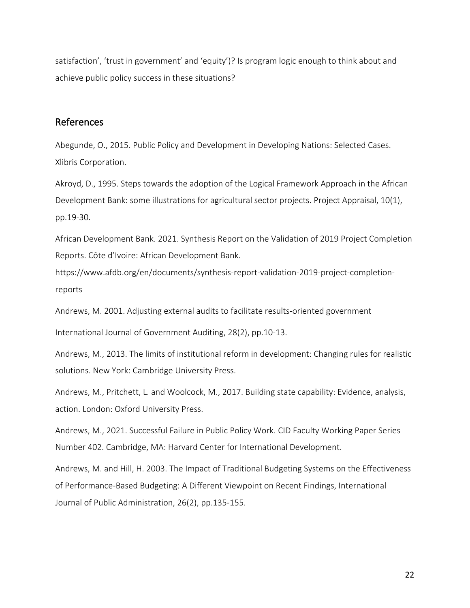satisfaction', 'trust in government' and 'equity')? Is program logic enough to think about and achieve public policy success in these situations?

## References

Abegunde, O., 2015. Public Policy and Development in Developing Nations: Selected Cases. Xlibris Corporation.

Akroyd, D., 1995. Steps towards the adoption of the Logical Framework Approach in the African Development Bank: some illustrations for agricultural sector projects. Project Appraisal, 10(1), pp.19-30.

African Development Bank. 2021. Synthesis Report on the Validation of 2019 Project Completion Reports. Côte d'Ivoire: African Development Bank.

https://www.afdb.org/en/documents/synthesis-report-validation-2019-project-completionreports

Andrews, M. 2001. Adjusting external audits to facilitate results-oriented government

International Journal of Government Auditing, 28(2), pp.10-13.

Andrews, M., 2013. The limits of institutional reform in development: Changing rules for realistic solutions. New York: Cambridge University Press.

Andrews, M., Pritchett, L. and Woolcock, M., 2017. Building state capability: Evidence, analysis, action. London: Oxford University Press.

Andrews, M., 2021. Successful Failure in Public Policy Work. CID Faculty Working Paper Series Number 402. Cambridge, MA: Harvard Center for International Development.

Andrews, M. and Hill, H. 2003. The Impact of Traditional Budgeting Systems on the Effectiveness of Performance-Based Budgeting: A Different Viewpoint on Recent Findings, International Journal of Public Administration, 26(2), pp.135-155.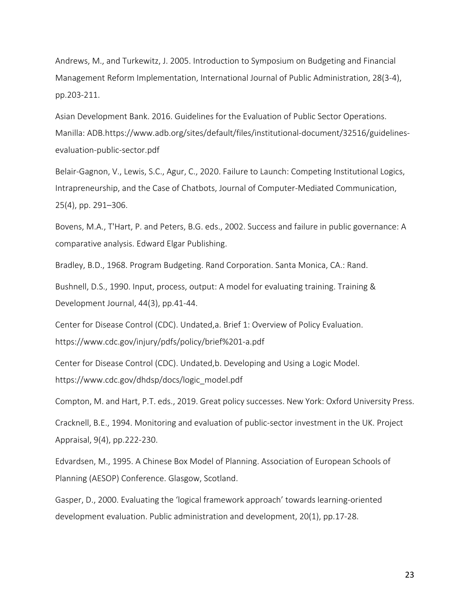Andrews, M., and Turkewitz, J. 2005. Introduction to Symposium on Budgeting and Financial Management Reform Implementation, International Journal of Public Administration, 28(3-4), pp.203-211.

Asian Development Bank. 2016. Guidelines for the Evaluation of Public Sector Operations. Manilla: ADB.https://www.adb.org/sites/default/files/institutional-document/32516/guidelinesevaluation-public-sector.pdf

Belair-Gagnon, V., Lewis, S.C., Agur, C., 2020. Failure to Launch: Competing Institutional Logics, Intrapreneurship, and the Case of Chatbots, Journal of Computer-Mediated Communication, 25(4), pp. 291–306.

Bovens, M.A., T'Hart, P. and Peters, B.G. eds., 2002. Success and failure in public governance: A comparative analysis. Edward Elgar Publishing.

Bradley, B.D., 1968. Program Budgeting. Rand Corporation. Santa Monica, CA.: Rand.

Bushnell, D.S., 1990. Input, process, output: A model for evaluating training. Training & Development Journal, 44(3), pp.41-44.

Center for Disease Control (CDC). Undated,a. Brief 1: Overview of Policy Evaluation. https://www.cdc.gov/injury/pdfs/policy/brief%201-a.pdf

Center for Disease Control (CDC). Undated,b. Developing and Using a Logic Model. https://www.cdc.gov/dhdsp/docs/logic\_model.pdf

Compton, M. and Hart, P.T. eds., 2019. Great policy successes. New York: Oxford University Press.

Cracknell, B.E., 1994. Monitoring and evaluation of public-sector investment in the UK. Project Appraisal, 9(4), pp.222-230.

Edvardsen, M., 1995. A Chinese Box Model of Planning. Association of European Schools of Planning (AESOP) Conference. Glasgow, Scotland.

Gasper, D., 2000. Evaluating the 'logical framework approach' towards learning-oriented development evaluation. Public administration and development, 20(1), pp.17-28.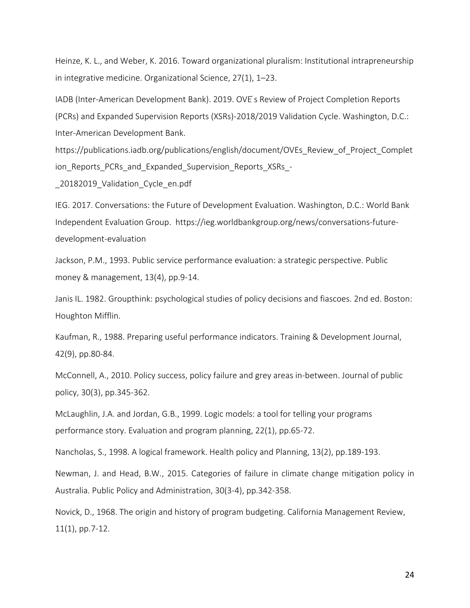Heinze, K. L., and Weber, K. 2016. Toward organizational pluralism: Institutional intrapreneurship in integrative medicine. Organizational Science, 27(1), 1–23.

IADB (Inter-American Development Bank). 2019. OVE ́s Review of Project Completion Reports (PCRs) and Expanded Supervision Reports (XSRs)-2018/2019 Validation Cycle. Washington, D.C.: Inter-American Development Bank.

https://publications.iadb.org/publications/english/document/OVEs\_Review\_of\_Project\_Complet ion Reports PCRs and Expanded Supervision Reports XSRs -

\_20182019\_Validation\_Cycle\_en.pdf

IEG. 2017. Conversations: the Future of Development Evaluation. Washington, D.C.: World Bank Independent Evaluation Group. https://ieg.worldbankgroup.org/news/conversations-futuredevelopment-evaluation

Jackson, P.M., 1993. Public service performance evaluation: a strategic perspective. Public money & management, 13(4), pp.9-14.

Janis IL. 1982. Groupthink: psychological studies of policy decisions and fiascoes. 2nd ed. Boston: Houghton Mifflin.

Kaufman, R., 1988. Preparing useful performance indicators. Training & Development Journal, 42(9), pp.80-84.

McConnell, A., 2010. Policy success, policy failure and grey areas in-between. Journal of public policy, 30(3), pp.345-362.

McLaughlin, J.A. and Jordan, G.B., 1999. Logic models: a tool for telling your programs performance story. Evaluation and program planning, 22(1), pp.65-72.

Nancholas, S., 1998. A logical framework. Health policy and Planning, 13(2), pp.189-193.

Newman, J. and Head, B.W., 2015. Categories of failure in climate change mitigation policy in Australia. Public Policy and Administration, 30(3-4), pp.342-358.

Novick, D., 1968. The origin and history of program budgeting. California Management Review, 11(1), pp.7-12.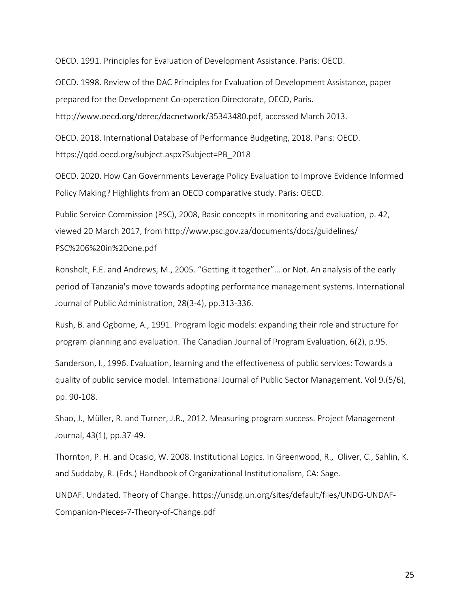OECD. 1991. Principles for Evaluation of Development Assistance. Paris: OECD.

OECD. 1998. Review of the DAC Principles for Evaluation of Development Assistance, paper prepared for the Development Co-operation Directorate, OECD, Paris. http://www.oecd.org/derec/dacnetwork/35343480.pdf, accessed March 2013.

OECD. 2018. International Database of Performance Budgeting, 2018. Paris: OECD. https://qdd.oecd.org/subject.aspx?Subject=PB\_2018

OECD. 2020. How Can Governments Leverage Policy Evaluation to Improve Evidence Informed Policy Making? Highlights from an OECD comparative study. Paris: OECD.

Public Service Commission (PSC), 2008, Basic concepts in monitoring and evaluation, p. 42, viewed 20 March 2017, from http://www.psc.gov.za/documents/docs/guidelines/ PSC%206%20in%20one.pdf

Ronsholt, F.E. and Andrews, M., 2005. "Getting it together"… or Not. An analysis of the early period of Tanzania's move towards adopting performance management systems. International Journal of Public Administration, 28(3-4), pp.313-336.

Rush, B. and Ogborne, A., 1991. Program logic models: expanding their role and structure for program planning and evaluation. The Canadian Journal of Program Evaluation, 6(2), p.95.

Sanderson, I., 1996. Evaluation, learning and the effectiveness of public services: Towards a quality of public service model. International Journal of Public Sector Management. Vol 9.(5/6), pp. 90-108.

Shao, J., Müller, R. and Turner, J.R., 2012. Measuring program success. Project Management Journal, 43(1), pp.37-49.

Thornton, P. H. and Ocasio, W. 2008. Institutional Logics. In Greenwood, R., Oliver, C., Sahlin, K. and Suddaby, R. (Eds.) Handbook of Organizational Institutionalism, CA: Sage.

UNDAF. Undated. Theory of Change. https://unsdg.un.org/sites/default/files/UNDG-UNDAF-Companion-Pieces-7-Theory-of-Change.pdf